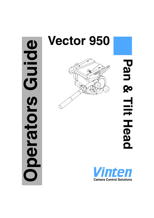# Guide **Operators Guide** perators

# **Vector 950**

Pan & **Pan & Tilt HeadTilt Head** 

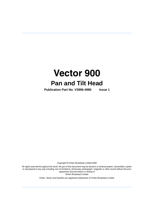

**Publication Part No. V3996-4980 Issue 1**

Copyright © Vinten Broadcast Limited 2005

All rights reserved throughout the world. No part of this document may be stored in a retrieval system, transmitted, copied or reproduced in any way including, but not limited to, photocopy, photograph, magnetic or other record without the prior agreement and permission in writing of Vinten Broadcast Limited.

Vinten, Vector and Quickfix are registered trademarks of Vinten Broadcast Limited.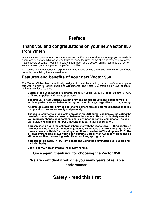# **Preface**

# <span id="page-2-0"></span>**Thank you and congratulations on your new Vector 950 from Vinten**

We want you to get the most from your new Vector 950, and therefore encourage you to read this operators guide to familiarise yourself with its many features, some of which may be new to you. It also covers essential health and safety information and a section on maintenance that will ensure you keep your new product in perfect condition.

To receive additional benefits, register with Vinten now, on line by visiting www.vinten.com/register, or by completing the enclosed form.

# **Features and benefits of your new Vector 950**

The Vector 950 has been specifically designed to meet the exacting demands of camera operators working with full facility studio and OB cameras. The Vector 950 offers a high level of control with many unique features.

- **Suitable for a wide range of cameras, from 16-120 kg (35-264.5 lb) at 150 mm (6 in.) C of G and supplied with a wedge adaptor.**
- **The unique Perfect Balance system provides infinite adjustment, enabling you to achieve perfect camera balance throughout the tilt range, regardless of drag setting.**
- **A retractable adjuster provides extensive camera fore and aft movement so that you can position the camera easily and perfectly.**
- **The digital counterbalance display provides an LCD numerical display, indicating the level of counterbalance chosen to balance the camera. This is particularly useful if you regularly change your camera, lens, viewfinder or battery combination, as you can quickly 'dial in' the number that suits that particular combination.**
- **You can keep up with the action as it happens with the responsive TF Drag control. It provides a wide range of infinitely adjustable, frictionless drag from very light to extremely heavy, suitable for operating conditions down to - 40°C and up to + 60°C. The TF drag system also allows you to pan extremely quickly or "whip pan" from one position to another, recovering instantly without any spring back.**
- **You can set up easily in low light conditions using the illuminated level bubble and back-lit display.**
- **Easy to carry, with an integral, fold-away handle.**

**Once again, thank you for choosing the Vector 950.** 

### <span id="page-2-1"></span>**We are confident it will give you many years of reliable performance.**

# **Safety - read this first**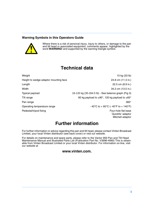### **Warning Symbols in this Operators Guide**



Where there is a risk of personal injury, injury to others, or damage to the pan and tilt head or associated equipment, comments appear, highlighted by the word **WARNING!** and supported by the warning triangle symbol.

# **Technical data**

<span id="page-3-0"></span>Weight 15 kg (33 lb)

Height to wedge adaptor mounting face 24.8 cm (11.3 in.)

Pan range 360° and 360° and 360° and 360° and 360° and 360° and 360° and 360° and 360° and 360° and 360° and 360°

Pedestal/tripod fixing Four-hole flat base Four-hole flat base

Length 22.5 cm (8.9 in.)

Width 34.2 cm (13.5 in.)

Typical payload 16-120 kg (35-264.5 lb) - See balance graph (Fig 3)

Tilt range Tilt range 60 kg payload to  $\pm 90^\circ$ , 120 kg payload to  $\pm 60^\circ$ 

Operating temperature range  $-40^{\circ}$ C to + 60°C (-40°F to + 140°F)

`Quickfix' adaptor Mitchell adaptor

# **Further information**

<span id="page-3-1"></span>For further information or advice regarding this pan and tilt head, please contact Vinten Broadcast Limited, your local Vinten distributor (see back cover) or visit our website.

For details on maintenance and spare parts, please refer to the Vector 950 Pan and Tilt Head Maintenance Manual and Illustrated Parts List (Publication Part No. V3996-4990) This is obtainable from Vinten Broadcast Limited or your local Vinten distributor. For information on-line, visit our website at

### **www.vinten.com.**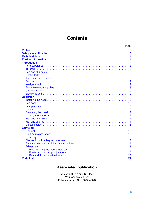# **Contents**

| Page                |  |
|---------------------|--|
|                     |  |
|                     |  |
|                     |  |
|                     |  |
| <b>Introduction</b> |  |
|                     |  |
|                     |  |
|                     |  |
|                     |  |
|                     |  |
|                     |  |
|                     |  |
|                     |  |
|                     |  |
|                     |  |
| <b>Operation</b>    |  |
|                     |  |
|                     |  |
|                     |  |
|                     |  |
|                     |  |
|                     |  |
|                     |  |
|                     |  |
|                     |  |
| <b>Servicing</b>    |  |
|                     |  |
|                     |  |
|                     |  |
|                     |  |
|                     |  |
|                     |  |
|                     |  |
|                     |  |
|                     |  |
|                     |  |

# **Associated publication**

Vector 950 Pan and Tilt Head Maintenance Manual Publication Part No. V3996-4990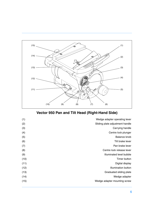<span id="page-5-14"></span><span id="page-5-12"></span><span id="page-5-8"></span><span id="page-5-7"></span>

<span id="page-5-13"></span><span id="page-5-11"></span><span id="page-5-10"></span><span id="page-5-9"></span><span id="page-5-6"></span><span id="page-5-5"></span><span id="page-5-4"></span><span id="page-5-3"></span><span id="page-5-2"></span><span id="page-5-1"></span><span id="page-5-0"></span>**Vector 950 Pan and Tilt Head (Right-Hand Side)**

| (1)  | Wedge adapter operating lever   |
|------|---------------------------------|
| (2)  | Sliding plate adjustment handle |
| (3)  | Carrying handle                 |
| (4)  | Centre lock plunger             |
| (5)  | Balance knob                    |
| (6)  | Tilt brake lever                |
| (7)  | Pan brake lever                 |
| (8)  | Centre lock release lever       |
| (9)  | Illuminated level bubble        |
| (10) | Timer button                    |
| (11) | Digital display                 |
| (12) | <b>Illumination button</b>      |
| (13) | Graduated sliding plate         |
| (14) | Wedge adapter                   |
| (15) | Wedge adapter mounting screw    |
|      |                                 |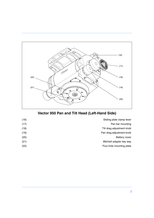<span id="page-6-4"></span>

# <span id="page-6-6"></span><span id="page-6-5"></span><span id="page-6-3"></span><span id="page-6-2"></span><span id="page-6-1"></span><span id="page-6-0"></span>**Vector 950 Pan and Tilt Head (Left-Hand Side)**

| (16) | Sliding plate clamp lever |
|------|---------------------------|
| (17) | Pan bar mounting          |
| (18) | Tilt drag adjustment knob |
| (19) | Pan drag adjustment knob  |
| (20) | <b>Battery cover</b>      |
| (21) | Mitchell adapter key way  |
| (22) | Four-hole mounting plate  |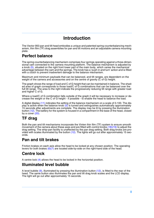# **Introduction**

<span id="page-7-0"></span>The Vector 950 pan and tilt head embodies a unique and patented spring counterbalancing mechanism, thin film (TF) drag assemblies for pan and tilt motions and an adjustable camera mounting plate.

# <span id="page-7-1"></span>**Perfect balance**

The spring counterbalancing mechanism comprises four springs operating against a three-dimensional cam connected to the camera mounting platform. The balance mechanism is adjusted by a knob [\(5\)](#page-5-0), situated on the right front lower part of the main body, which varies the mechanical advantage between the cam and the springs. The knob has a 'push in and turn' action and is fitted with a clutch to prevent inadvertent damage to the balance mechanism.

Maximum and minimum payloads that can be balanced, and tilt ranges, are dependent on the weight of the camera and accessories and on the centre of gravity (C of G) height.

The graph shows the range of load and C of G height that can be maintained in balance. The shaded area of graph corresponds to those load/C of G combinations that can be balanced over the full tilt range. The area to the right indicate the progressively reducing tilt range with greater load and higher C of G.

Where a load/C of G combination falls outside of the graph it will be necessary to increase or decrease the weight or the C of G height - if possible - to enable the head to balance the load.

A digital display [\(11\)](#page-5-1) indicates the setting of the balance mechanism on a scale of 0-100. The display is active when the balance knob  $(5)$  is turned and extinguishes automatically approximately 15 seconds after adjustments are complete. The display may be lit by pressing the illumination button [\(12\).](#page-5-2) The battery for the system is housed in a compartment in the base of the head, closed by a cover  $(20)$ .

# <span id="page-7-2"></span>**TF drag**

Both the pan and tilt mechanisms incorporate the Vinten thin film (TF) system to ensure smooth movement of the camera about these axes and are fitted with control knobs [\(18\)](#page-6-1)[\(19\)](#page-6-2) to adjust the drag setting. The whip-pan facility is unaffected by the pan drag setting. Both drag knobs are provided with scales illuminated by the button [\(12\).](#page-5-2) The lights will go out after approximately 15 seconds.

# <span id="page-7-3"></span>**Pan and tilt brakes**

Friction brakes on each axis allow the head to be locked at any chosen position. The operating levers for both brakes  $(6)(7)$  $(6)(7)$  are located side-by-side on the right-hand side of the head.

# <span id="page-7-4"></span>**Centre lock**

A centre lock [\(4\)](#page-5-5) allows the head to be locked in the horizontal position.

# <span id="page-7-5"></span>**Illuminated level bubble**

A level bubble [\(9\),](#page-5-6) illuminated by pressing the illumination button [\(12\),](#page-5-2) is fitted to the rear of the head. The same button also illuminates the pan and tilt drag knob scales and the LCD display. The light will go out after approximately 15 seconds.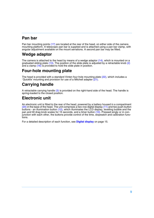# <span id="page-8-0"></span>**Pan bar**

Pan bar mounting points [\(17\)](#page-6-3) are located at the rear of the head, on either side of the camera mounting platform. A telescopic pan bar is supplied and is attached using a pan bar clamp, with angular adjustment available on the mount serrations. A second pan bar may be fitted.

# <span id="page-8-1"></span>**Wedge adaptor**

The camera is attached to the head by means of a wedge adaptor  $(14)$ , which is mounted on a graduated sliding plate [\(13\)](#page-5-8). The position of the slide plate is adjusted by a retractable knob [\(2\)](#page-5-9) and a clamp [\(16\)](#page-6-4) is provided to hold the slide plate in position.

# <span id="page-8-2"></span>**Four-hole mounting plate**

The head is provided with a standard Vinten four-hole mounting plate [\(22\)](#page-6-5), which includes a `Quickfix' mounting and provision for use of a Mitchell adapter [\(21\).](#page-6-6)

# <span id="page-8-3"></span>**Carrying handle**

A retractable carrying handle [\(3\)](#page-5-10) is provided on the right-hand side of the head. The handle is spring-loaded to the closed position.

# <span id="page-8-4"></span>**Electronic unit**

An electronic unit is fitted to the rear of the head, powered by a battery housed in a compartment [\(20\)](#page-6-0) in the base of the head. The unit comprises a two-row digital display [\(11\)](#page-5-1) and two push-button buttons - an illumination button [\(12\),](#page-5-2) which illuminates the LCD display, levelling bubble and the pan and tilt drag knob scales for 15 seconds, and a timer button [\(10\)](#page-5-11). Pressed singly or in conjunction with each other, the buttons provide control of the time, stopwatch and calibration functions.

For a detailed description of each function, see **[Digital display](#page-14-0)** on page 15.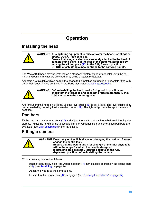# **Operation**

# <span id="page-9-1"></span><span id="page-9-0"></span>**Installing the head**



**WARNING! If using lifting equipment to raise or lower the head, use slings or straps. DO NOT use shackles. Ensure that slings or straps are securely attached to the head. A suitable lifting point is at the rear of the platform, accessed by moving the sliding plate [\(13\)](#page-5-8) to the fully forward position. DO NOT attach lifting slings or straps to the carrying handle.**

The Vector 950 head may be installed on a standard 'Vinten' tripod or pedestal using the four mounting bolts and washers provided or by using a `Quickfix' adaptor.

Adaptors are available which enable the heads to be installed on tripods or pedestals fitted with other mountings. These are listed in the Parts List under [Optional accessories.](#page-20-1)

**WARNING! Before installing the head, hold a fixing bolt in position and check that the threaded end does not project more than 12 mm (15/32 in.) above the mounting face**

After mounting the head on a tripod, use the level bubble  $(9)$  to set it level. The level bubble may be illuminated by pressing the illumination button [\(12\)](#page-5-2). The light will go out after approximately 15 seconds.

# <span id="page-9-2"></span>**Pan bars**

Fit the pan bars on the mountings [\(17\)](#page-6-3) and adjust the position of each one before tightening the clamps. Adjust the length of the telescopic pan bar. Optional fixed and short fixed pan bars are available (see [Main assemblies](#page-20-2) in the Parts List).

# <span id="page-9-3"></span>**Fitting a camera**



To fit a camera, proceed as follows:

If not already fitted, install the wedge adaptor  $(14)$  in the middle position on the sliding plate [\(13\)](#page-5-8) (see **Servicing** [on page 16\)](#page-15-0).

Attach the wedge to the camera/lens.

Ensure that the centre lock [\(4\)](#page-5-5) is engaged (see ["Locking the platform" on page 14](#page-13-0)).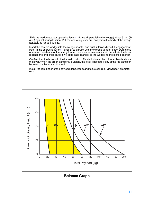Slide the wedge adaptor operating lever [\(1\)](#page-5-12) forward (parallel to the wedge) about 6 mm (1/ 4 in.) against spring tension. Pull the operating lever out, away from the body of the wedge adaptor, as far as it will go.

Insert the camera wedge into the wedge adaptor and push it forward into full engagement. Push in the operating lever [\(1\)](#page-5-12) until it lies parallel with the wedge adaptor body. During this operation resistance of the spring-loaded over-centre mechanism will be felt. As the lever reaches the end of its travel it will slide back (parallel to the wedge) to the locked position.

Confirm that the lever is in the locked position. This is indicated by coloured bands above the lever. When the green band only is visible, the lever is locked. If any of the red band can be seen, the lever is not locked.

Install the remainder of the payload (lens, zoom and focus controls, viewfinder, prompter etc).



**Balance Graph**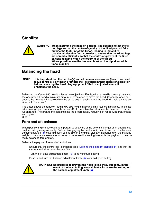# <span id="page-11-0"></span>**Stability**

|  | WARNING! When mounting the head on a tripod, it is possible to set the tri-<br>pod legs so that the centre-of-gravity of the tilted payload falls<br>outside the footprint of the tripod, leading to instability.<br>Use the mid-level or floor spreader to ensure that the tripod legs<br>are spread sufficiently so that the centre-of-gravity of the tilted<br>payload remains within the footprint of the tripod.<br>Where possible, use the tie-down hook on the tripod for addi-<br>tional stability. |
|--|-------------------------------------------------------------------------------------------------------------------------------------------------------------------------------------------------------------------------------------------------------------------------------------------------------------------------------------------------------------------------------------------------------------------------------------------------------------------------------------------------------------|
|  |                                                                                                                                                                                                                                                                                                                                                                                                                                                                                                             |

# <span id="page-11-1"></span>**Balancing the head**

**NOTE: It is important that the pan bar(s) and all camera accessories (lens, zoom and focus controls, viewfinder, prompter etc.) are fitted in their operational position before balancing the head. Any equipment fitted or adjusted later will unbalance the head.** 

Balancing the Vector 950 head achieves two objectives. Firstly, when a head is correctly balanced the operator will need a minimum amount of even effort to move the head. Secondly, once balanced, the head and its payload can be set to any tilt position and the head will maintain this position with 'hands off'.

The graph shows the range of load and C of G height that can be maintained in balance. The shaded area of graph corresponds to those load/C of G combinations that can be balanced over the full tilt range. The area to the right indicate the progressively reducing tilt range with greater load and higher C of G.

### **Fore and aft balance**

When positioning the payload it is important to be aware of the potential danger of an unbalanced payload falling away suddenly. Before disengaging the centre lock, push in and turn the balance adjustment knob  $(8)$  to its mid point setting (50 on the digital display). Depending on the payload weight, it may be necessary to increase or decrease this setting to enable the payload to be correctly balanced fore and aft.

Balance the payload fore and aft as follows:

Ensure that the centre lock is engaged (see ["Locking the platform" on page 14\)](#page-13-0) and that the camera and all accessories are fitted.

Turn the tilt drag adjustment knob [\(18\)](#page-6-1) to its minimum setting.

Push in and turn the balance adjustment knob [\(5\)](#page-5-0) to its mid point setting.



**WARNING! Be prepared to prevent the head falling away suddenly. In the event of the head falling away violently, increase the setting on the balance adjustment knob [\(5\).](#page-5-0)**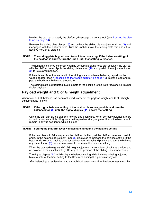Holding the pan bar to steady the platform, disengage the centre lock (see ["Locking the plat](#page-13-0)[form" on page 14](#page-13-0)).

Release the sliding plate clamp  $(16)$  and pull out the sliding plate adjustment knob  $(2)$  until it engages with the platform drive. Turn the knob to move the sliding plate fore and aft to achieve horizontal balance.

### **NOTE: The sliding plate is graduated to facilitate balancing. If the balance setting of the payload is known, turn the knob until that setting is reached.**

The horizontal balance is correct when no perceptible tilting force can be felt on the pan bar with the platform level. Apply the sliding plate clamp [\(16\)](#page-6-4) and push in the adjustment knob [\(2\)](#page-5-9) to its stowed position.

If there is insufficient movement in the sliding plate to achieve balance, reposition the wedge adaptor (see ["Repositioning the wedge adaptor" on page 19](#page-18-1)), refit the load and repeat the horizontal balancing procedure.

The sliding plate is graduated. Make a note of the position to facilitate rebalancing this particular payload.

### **Payload weight and C of G height adjustment**

When fore and aft balance has been achieved, carry out the payload weight and C of G height adjustment as follows:

### **NOTE: If the digital balance setting of the payload is known, push in and turn the balance knob [\(5\)](#page-5-0) until the digital display [\(11\)](#page-5-1) shows that setting.**

Using the pan bar, tilt the platform forward and backward. When correctly balanced, there should be no perceptible tilting force on the pan bar at any angle of tilt and the head should remain in any tilt position to which it is set.

### **NOTE: Setting the platform level will facilitate adjusting the balance setting**

If the head tends to fall away when the platform is tilted, set the platform level and push in and turn the balance adjustment knob [\(5\)](#page-5-0) clockwise to increase the balance setting. If the head tends to spring back to centre, set the platform level and push in and turn the balance adjustment knob [\(5\)](#page-5-0) counter-clockwise to decrease the balance setting.

When the payload weight and C of G height adjustment is complete, check that the fore and aft balance remains satisfactory. Re-adjust the position of the sliding plate if necessary.

The digital display [\(11\)](#page-5-1) will display the balance setting while balance is being adjusted. Make a note of the final setting to facilitate rebalancing this particular payload.

After balancing, exercise the head through both axes to confirm that it operates smoothly.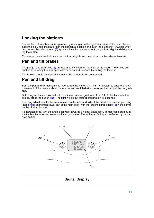# <span id="page-13-0"></span>**Locking the platform**

The centre lock mechanism is operated by a plunger on the right-hand side of the head. To en-gage the lock, hold the platform in the horizontal position and push the plunger [\(4\)](#page-5-5) inwards until it latches and the release lever  $(8)$  appears. Use the pan bar to rock the platform slightly whilst pushing the button.

To release the centre lock, rock the platform slightly and push down on the release lever  $(8)$ .

# <span id="page-13-1"></span>**Pan and tilt brakes**

The pan [\(7\)](#page-5-4) and tilt brakes [\(6\)](#page-5-3) are operated by levers on the right of the head. The brakes are applied by pushing the appropriate lever down and released by pulling the lever up.

The brakes should be applied whenever the camera is left unattended.

# <span id="page-13-2"></span>**Pan and tilt drag**

Both the pan and tilt mechanisms incorporate the Vinten thin film (TF) system to ensure smooth movement of the camera about these axes and are fitted with control knobs to adjust the drag setting.

Both drag knobs are provided with illuminated scales, graduated from 0 to 9. To illuminate the scales, press the button [\(12\)](#page-5-2). The light will go out after approximately 15 seconds.

The drag adjustment knobs are mounted on the left-hand side of the head. The smaller pan drag knob [\(19\)](#page-6-2) is on the front lower part of the main body, with the larger tilt drag knob [\(18\)](#page-6-1) in the centre on the tilt drag housing.

<span id="page-13-3"></span>To increase drag, turn the knob clockwise, towards a higher graduation. To decrease drag, turn the knob anti-clockwise, towards a lower graduation.The whip-pan facility is unaffected by the pan drag setting.



### <span id="page-13-5"></span><span id="page-13-4"></span>**Digital Display**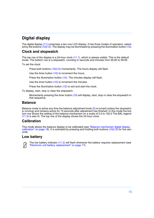# <span id="page-14-0"></span>**Digital display**

The digital display [\(11\)](#page-5-1) comprises a two-row LCD display. It has three modes of operation, selected by the buttons  $(10)(12)$  $(10)(12)$ . The display may be illuminated by pressing the illumination button  $(12)$ .

### <span id="page-14-1"></span>**Clock and stopwatch**

The top row of the display is a 24-hour clock [\(11.1\)](#page-13-3), which is always visible. This is the default mode. The bottom row is a stopwatch, counting in seconds and minutes from 00:00 to 59:59.

To set the clock:

Press both buttons [\(10\)](#page-5-11)[\(12\)](#page-5-2) momentarily. The hours display will flash.

Use the timer button [\(10\)](#page-5-11) to increment the hours.

Press the illumination button [\(12\)](#page-5-2). The minutes display will flash.

Use the timer button [\(10\)](#page-5-11) to increment the minutes.

Press the illumination button [\(12\)](#page-5-2) to exit and start the clock.

To display, start, stop or clear the stopwatch:

Momentarily pressing the timer button [\(10\)](#page-5-11) will display, start, stop or clear the stopwatch in that sequence.

### **Balance**

Balance mode is active any time the balance adjustment knob  $(5)$  is turned (unless the stopwatch is running) and remains active for 15 seconds after adjustment has finished. In this mode the bottom row shows the setting of the balance mechanism on a scale of 0.0 to 100.0 The BAL legend [\(11.3\)](#page-13-4) is also lit. The top row of the display shows the 24-hour clock.

### **Calibration**

This mode allows the balance display to be calibrated (see ["Balance mechanism digital display](#page-17-0)  [calibration" on page 18](#page-17-0)). It is activated by pressing and holding both buttons  $(10)(12)$  $(10)(12)$  for five seconds.

### **Low battery**



The low battery indicator [\(11.2\)](#page-13-5) will flash whenever the battery requires replacement (see ["Electronic unit battery replacement" on page 17](#page-16-0)).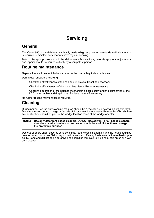# **Servicing**

# <span id="page-15-1"></span><span id="page-15-0"></span>**General**

The Vector 950 pan and tilt head is robustly made to high engineering standards and little attention is required to maintain serviceability save regular cleaning.

Refer to the appropriate section in the Maintenance Manual if any defect is apparent. Adjustments and repairs should be carried out only by a competent person.

# <span id="page-15-2"></span>**Routine maintenance**

Replace the electronic unit battery whenever the low battery indicator flashes.

During use, check the following:

Check the effectiveness of the pan and tilt brakes. Reset as necessary.

Check the effectiveness of the slide plate clamp. Reset as necessary.

Check the operation of the balance mechanism digital display and the illumination of the LCD, level bubble and drag knobs. Replace battery if necessary.

No further routine maintenance is required.

# <span id="page-15-3"></span>**Cleaning**

During normal use the only cleaning required should be a regular wipe over with a lint-free cloth. Dirt accumulated during storage or periods of disuse may be removed with a semi-stiff brush. Particular attention should be paid to the wedge location faces of the wedge adaptor.

### **NOTE: Use only detergent-based cleaners. DO NOT use solvent- or oil-based cleaners, abrasives or wire brushes to remove accumulations of dirt as these damage the protective surfaces**

Use out-of-doors under adverse conditions may require special attention and the head should be covered when not in use. Salt spray should be washed off using fresh water at the earliest opportunity. Sand and dirt act as an abrasive and should be removed using a semi-stiff brush or a vacuum cleaner.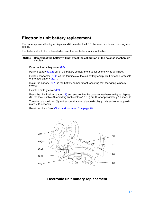# <span id="page-16-0"></span>**Electronic unit battery replacement**

The battery powers the digital display and illuminates the LCD, the level bubble and the drag knob scales.

The battery should be replaced whenever the low battery indicator flashes.

### **NOTE: Removal of the battery will not affect the calibration of the balance mechanism display.**

Prise out the battery cover [\(20\).](#page-16-1)

Pull the battery [\(20.1\)](#page-16-2) out of the battery compartment as far as the wiring will allow.

Pull the connector [\(20.2\)](#page-16-3) off the terminals of the old battery and push it onto the terminals of the new battery  $(20.1)$ .

Install the battery [\(20.1\)](#page-16-2) in the battery compartment, ensuring that the wiring is neatly stowed.

Refit the battery cover [\(20\).](#page-16-1)

Press the illumination button [\(12\)](#page-16-4) and ensure that the balance mechanism digital display (6), the level bubble (9) and drag knob scales (18, 19) are lit for approximately 15 seconds.

Turn the balance knob (5) and ensure that the balance display (11) is active for approximately 15 seconds.

Reset the clock (see ["Clock and stopwatch" on page 15](#page-14-1)).



### <span id="page-16-4"></span><span id="page-16-3"></span><span id="page-16-2"></span><span id="page-16-1"></span>**Electronic unit battery replacement**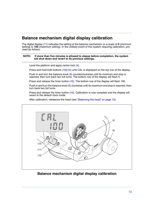# <span id="page-17-0"></span>**Balance mechanism digital display calibration**

The digital display [\(11\)](#page-17-1) indicates the setting of the balance mechanism on a scale of **0** (minimum setting) to **100** (maximum setting). In the unlikely event of this system requiring calibration, proceed as follows:

### **NOTE: If more than five minutes is allowed to elapse before completion, the system will shut down and revert to its previous settings.**

Level the platform and apply centre lock [\(4\).](#page-17-2)

Press and hold both buttons [\(10\)](#page-17-3)[\(12\)](#page-17-4) until CAL is displayed on the top row of the display.

Push in and turn the balance knob  $(5)$  counterclockwise until its minimum end stop is reached, then turn back two full turns. The bottom row of the display will flash 0.

Press and release the timer button [\(10\).](#page-17-3) The bottom row of the display will flash 100.

Push in and turn the balance knob [\(5\)](#page-17-5) clockwise until its maximum end stop is reached, then turn back two full turns.

Press and release the timer button [\(10\).](#page-17-3) Calibration is now complete and the display will revert to the default clock mode.

<span id="page-17-2"></span>After calibration, rebalance the head (see ["Balancing the head" on page 12\)](#page-11-1).



### <span id="page-17-5"></span><span id="page-17-4"></span><span id="page-17-3"></span><span id="page-17-1"></span>**Balance mechanism digital display calibration**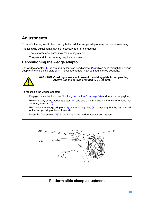# <span id="page-18-0"></span>**Adjustments**

To enable the payload to be correctly balanced, the wedge adaptor may require repositioning.

The following adjustments may be necessary after prolonged use:

The platform slide clamp may require adjustment.

The pan and tilt brakes may require adjustment.

### <span id="page-18-1"></span>**Repositioning the wedge adaptor**

The wedge adaptor [\(14\)](#page-5-7) is secured by four cap head screws [\(15\)](#page-5-14) which pass through the wedge adaptor into the sliding plate  $(13)$ . The wedge adaptor may be fitted in three positions.



### **WARNING! Overlong screws will prevent the sliding plate from operating. Always use the screws provided (M6 x 30 mm).**

To reposition the wedge adaptor:

Engage the centre lock (see ["Locking the platform" on page 14\)](#page-13-0) and remove the payload.

Hold the body of the wedge adaptor [\(14\)](#page-5-7) and use a 4 mm hexagon wrench to remove four securing screws [\(15\).](#page-5-14)

Reposition the wedge adaptor  $(14)$  on the sliding plate  $(13)$ , ensuring that the narrow end of the wedge adaptor faces forwards

<span id="page-18-3"></span><span id="page-18-2"></span>Insert the four screws [\(15\)](#page-5-14) in the holes in the wedge adaptor and tighten..



### <span id="page-18-4"></span>**Platform slide clamp adjustment**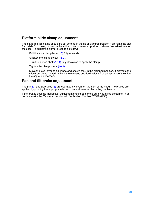### <span id="page-19-0"></span>**Platform slide clamp adjustment**

The platform slide clamp should be set so that, in the up or clamped position it prevents the platform slide from being moved, while in the down or released position it allows free adjustment of the slide. To adjust the clamp, proceed as follows:

Pull the slide clamp lever [\(16\)](#page-18-2) fully upwards.

Slacken the clamp screw [\(16.2\).](#page-18-3)

Turn the slotted shaft [\(16.1\)](#page-18-4) fully clockwise to apply the clamp.

Tighten the clamp screw [\(16.2\).](#page-18-3)

Move the lever over its full range and ensure that, in the clamped position, it prevents the slide from being moved, while in the released position it allows free adjustment of the slide. Re-adjust if necessary.

### <span id="page-19-1"></span>**Pan and tilt brake adjustment**

The pan  $(7)$  and tilt brakes  $(6)$  are operated by levers on the right of the head. The brakes are applied by pushing the appropriate lever down and released by pulling the lever up.

If the brakes become ineffective, adjustment should be carried out by qualified personnel in accordance with the Maintenance Manual (Publication Part No. V3996-4990).